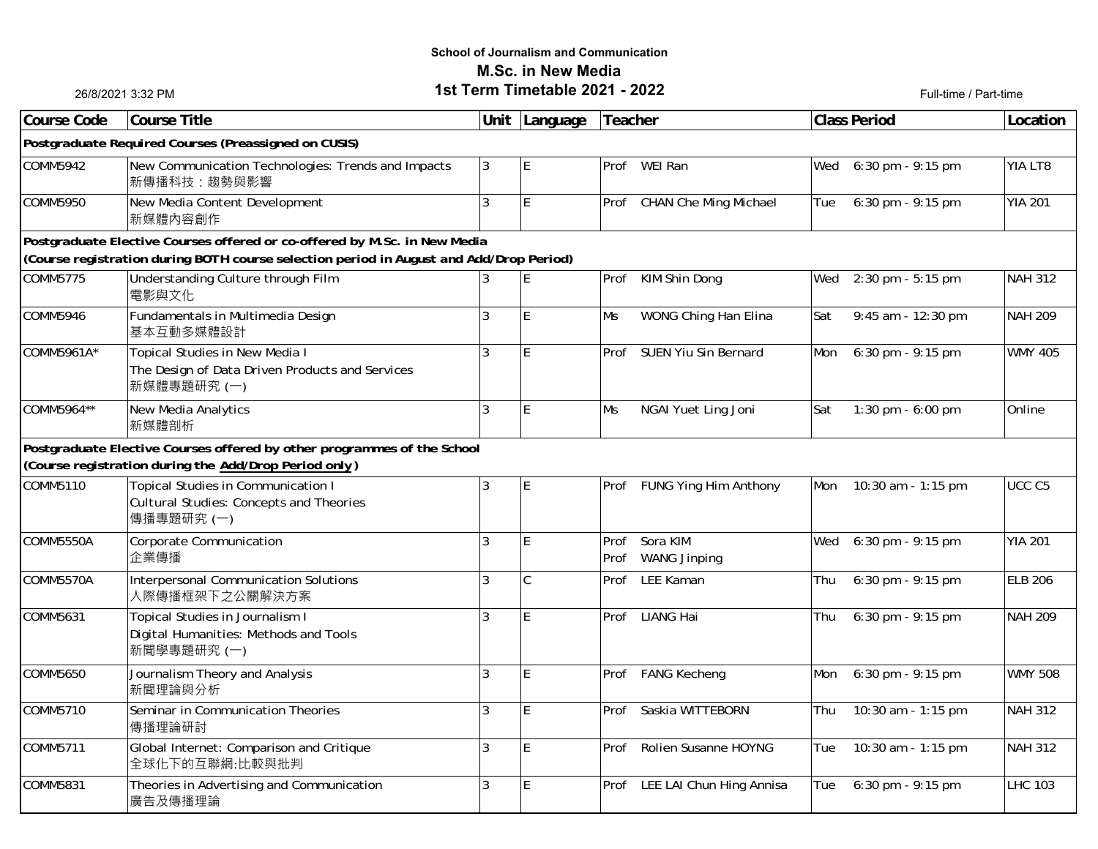## **School of Journalism and Communication M.Sc. in New Media1st Term Timetable 2021 - 2022**Full-time / Part-time

26/8/2021 3:32 PM

| Course Code                                                                                                                                                          | <b>Course Title</b>                                                                                       | Unit           | Language    | Teacher |                                      |     | <b>Class Period</b> | Location          |  |
|----------------------------------------------------------------------------------------------------------------------------------------------------------------------|-----------------------------------------------------------------------------------------------------------|----------------|-------------|---------|--------------------------------------|-----|---------------------|-------------------|--|
| Postgraduate Required Courses (Preassigned on CUSIS)                                                                                                                 |                                                                                                           |                |             |         |                                      |     |                     |                   |  |
| COMM5942                                                                                                                                                             | New Communication Technologies: Trends and Impacts<br>新傳播科技:趨勢與影響                                         | 3              | E           |         | Prof WEI Ran                         | Wed | $6:30$ pm - 9:15 pm | YIA LT8           |  |
| COMM5950                                                                                                                                                             | New Media Content Development<br>新媒體內容創作                                                                  | 3              | ΙE          | Prof    | <b>CHAN Che Ming Michael</b>         | Tue | 6:30 pm - 9:15 pm   | <b>YIA 201</b>    |  |
| Postgraduate Elective Courses offered or co-offered by M.Sc. in New Media<br>(Course registration during BOTH course selection period in August and Add/Drop Period) |                                                                                                           |                |             |         |                                      |     |                     |                   |  |
| COMM5775                                                                                                                                                             | Understanding Culture through Film<br>電影與文化                                                               |                | ΙE          |         | Prof KIM Shin Dong                   | Wed | 2:30 pm - 5:15 pm   | <b>NAH 312</b>    |  |
| COMM5946                                                                                                                                                             | Fundamentals in Multimedia Design<br>基本互動多媒體設計                                                            | 3              | E           | Ms      | WONG Ching Han Elina                 | Sat | 9:45 am - 12:30 pm  | <b>NAH 209</b>    |  |
| COMM5961A*                                                                                                                                                           | Topical Studies in New Media I<br>The Design of Data Driven Products and Services<br>新媒體專題研究 (一)          | 3              | İΕ          |         | Prof SUEN Yiu Sin Bernard            | Mon | 6:30 pm - 9:15 pm   | <b>WMY 405</b>    |  |
| COMM5964**                                                                                                                                                           | <b>New Media Analytics</b><br>新媒體剖析                                                                       | 3              | ΙE          | Ms      | NGAI Yuet Ling Joni                  | Sat | 1:30 pm - $6:00$ pm | Online            |  |
| Postgraduate Elective Courses offered by other programmes of the School<br>(Course registration during the Add/Drop Period only)                                     |                                                                                                           |                |             |         |                                      |     |                     |                   |  |
| COMM5110                                                                                                                                                             | <b>Topical Studies in Communication I</b><br><b>Cultural Studies: Concepts and Theories</b><br>傳播專題研究 (一) | $\overline{3}$ | ΙE          |         | Prof FUNG Ying Him Anthony           | Mon | 10:30 am - 1:15 pm  | UCC <sub>C5</sub> |  |
| COMM5550A                                                                                                                                                            | Corporate Communication<br>企業傳播                                                                           | 3              | ΙE          | Prof    | Prof Sora KIM<br><b>WANG Jinping</b> | Wed | 6:30 pm - 9:15 pm   | <b>YIA 201</b>    |  |
| COMM5570A                                                                                                                                                            | Interpersonal Communication Solutions<br>人際傳播框架下之公關解決方案                                                   | $\overline{3}$ | $\mathsf C$ |         | Prof LEE Kaman                       | Thu | 6:30 pm - 9:15 pm   | <b>ELB 206</b>    |  |
| COMM5631                                                                                                                                                             | Topical Studies in Journalism I<br>Digital Humanities: Methods and Tools<br>新聞學專題研究 (一)                   | $\overline{3}$ | E           |         | Prof LIANG Hai                       | Thu | 6:30 pm - 9:15 pm   | <b>NAH 209</b>    |  |
| COMM5650                                                                                                                                                             | Journalism Theory and Analysis<br>新聞理論與分析                                                                 | $\overline{3}$ | $\mathsf E$ |         | Prof FANG Kecheng                    | Mon | $6:30$ pm - 9:15 pm | <b>WMY 508</b>    |  |
| COMM5710                                                                                                                                                             | Seminar in Communication Theories<br>傳播理論研討                                                               | $\overline{3}$ | E           |         | Prof Saskia WITTEBORN                | Thu | 10:30 am - 1:15 pm  | <b>NAH 312</b>    |  |
| COMM5711                                                                                                                                                             | Global Internet: Comparison and Critique<br>全球化下的互聯網:比較與批判                                                | $\overline{3}$ | E           |         | Prof Rolien Susanne HOYNG            | Tue | 10:30 am - 1:15 pm  | <b>NAH 312</b>    |  |
| COMM5831                                                                                                                                                             | Theories in Advertising and Communication<br>廣告及傳播理論                                                      | $\overline{3}$ | E           |         | Prof LEE LAI Chun Hing Annisa        | Tue | 6:30 pm - 9:15 pm   | <b>LHC 103</b>    |  |